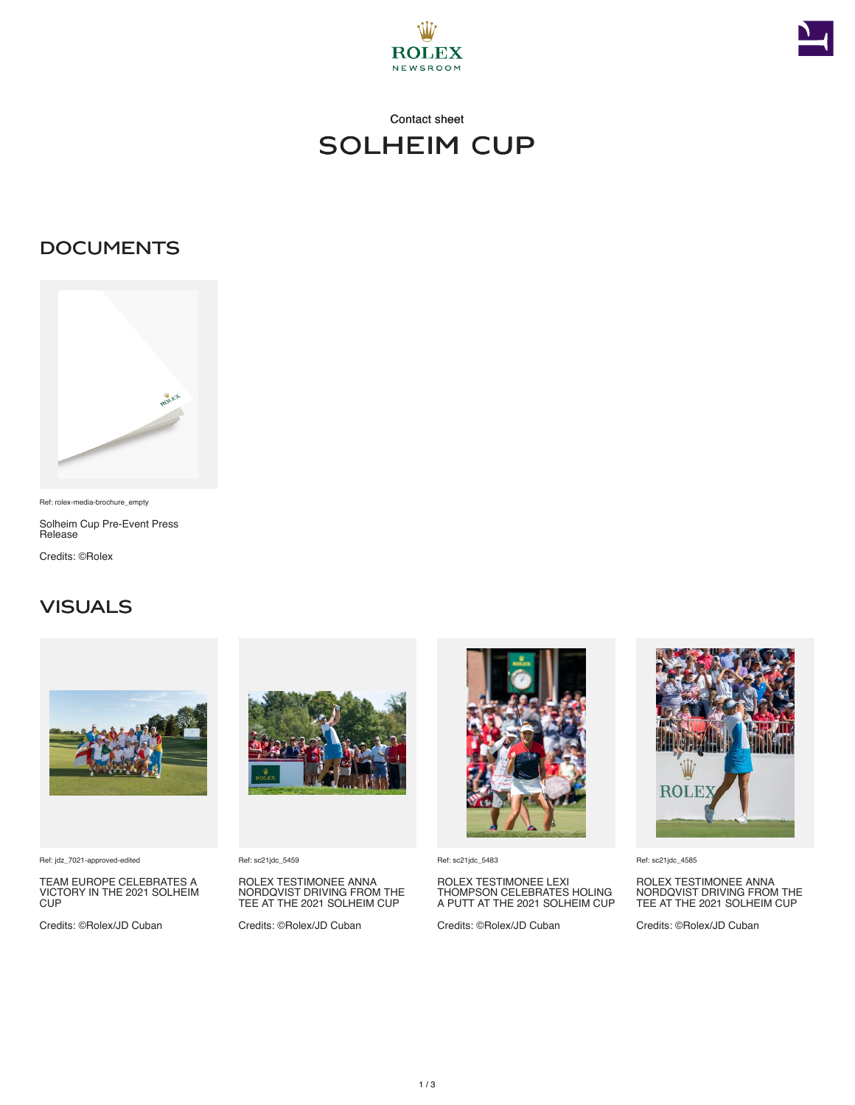



## Contact sheet solheim cup

#### **DOCUMENTS**



Ref: rolex-media-brochure\_empty

Solheim Cup Pre-Event Press Release

Credits: ©Rolex

### **VISUALS**



Ref: jdz\_7021-approved-edited

TEAM EUROPE CELEBRATES A VICTORY IN THE 2021 SOLHEIM CUP

Credits: ©Rolex/JD Cuban



Ref: sc21jdc\_5459

ROLEX TESTIMONEE ANNA NORDQVIST DRIVING FROM THE TEE AT THE 2021 SOLHEIM CUP

Credits: ©Rolex/JD Cuban



Ref: sc21jdc\_5483

# ROLEX TESTIMONEE LEXI THOMPSON CELEBRATES HOLING A PUTT AT THE 2021 SOLHEIM CUP

Credits: ©Rolex/JD Cuban



Ref: sc21jdc\_4585

ROLEX TESTIMONEE ANNA NORDQVIST DRIVING FROM THE TEE AT THE 2021 SOLHEIM CUP

Credits: ©Rolex/JD Cuban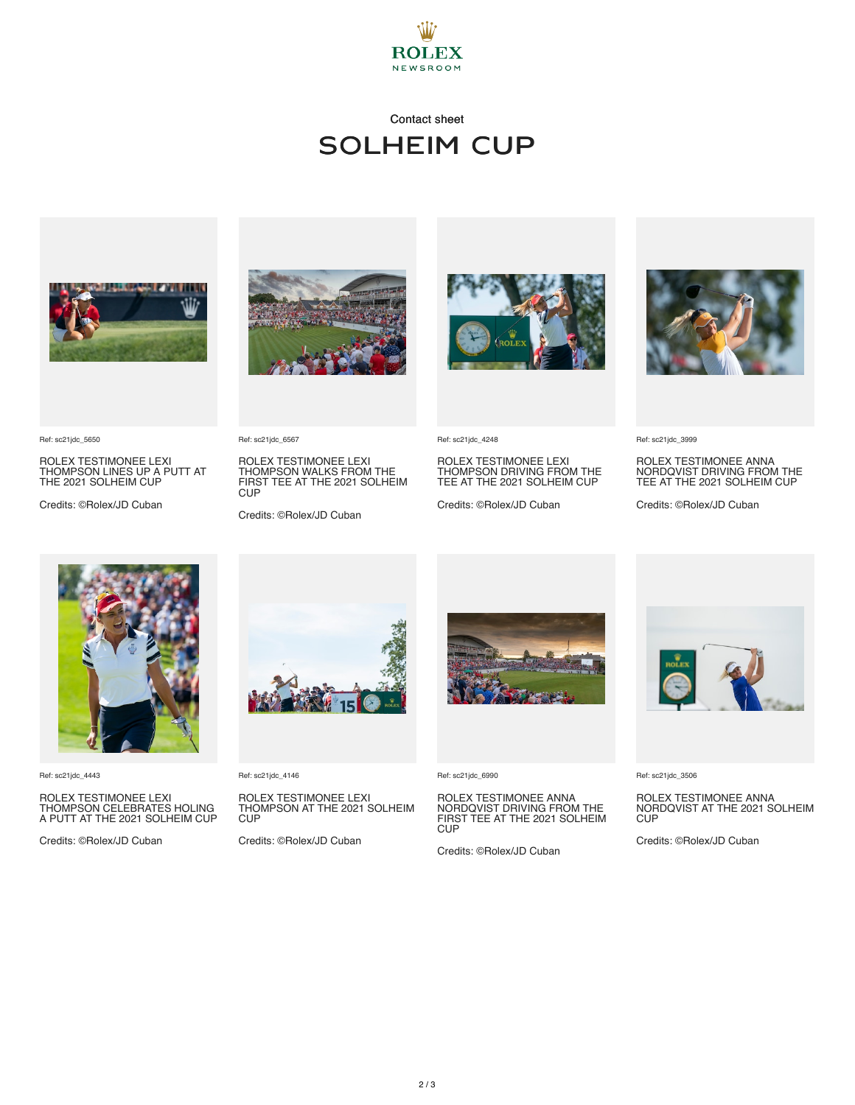

## Contact sheet solheim cup



ROLEX TESTIMONEE LEXI THOMPSON LINES UP A PUTT AT THE 2021 SOLHEIM CUP

Credits: ©Rolex/JD Cuban



ROLEX TESTIMONEE LEXI THOMPSON WALKS FROM THE FIRST TEE AT THE 2021 SOLHEIM

Credits: ©Rolex/JD Cuban



Ref: sc21jdc\_4248

ROLEX TESTIMONEE LEXI THOMPSON DRIVING FROM THE TEE AT THE 2021 SOLHEIM CUP

Credits: ©Rolex/JD Cuban



Ref: sc21jdc\_3999

ROLEX TESTIMONEE ANNA NORDQVIST DRIVING FROM THE TEE AT THE 2021 SOLHEIM CUP

Credits: ©Rolex/JD Cuban



Ref: sc21jdc\_4443

Ref: sc21jdc\_5650

ROLEX TESTIMONEE LEXI THOMPSON CELEBRATES HOLING A PUTT AT THE 2021 SOLHEIM CUP

Credits: ©Rolex/JD Cuban



Ref: sc21jdc\_4146

Ref: sc21jdc\_6567

**CUP** 

ROLEX TESTIMONEE LEXI THOMPSON AT THE 2021 SOLHEIM CUP

Credits: ©Rolex/JD Cuban



Ref: sc21jdc\_6990

ROLEX TESTIMONEE ANNA NORDQVIST DRIVING FROM THE FIRST TEE AT THE 2021 SOLHEIM CUP<sup></sup>

Credits: ©Rolex/JD Cuban



Ref: sc21jdc\_3506

ROLEX TESTIMONEE ANNA NORDQVIST AT THE 2021 SOLHEIM C<sub>UP</sub>

Credits: ©Rolex/JD Cuban